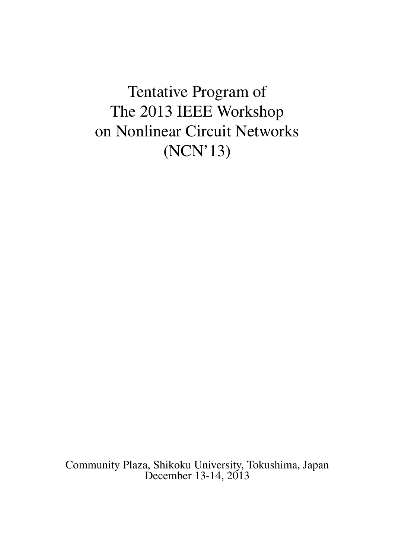<span id="page-0-0"></span>Tentative Program of The 2013 IEEE Workshop on Nonlinear Circuit Networks (NCN'13)

Community Plaza, Shikoku University, Tokushima, Japan December 13-14, 2013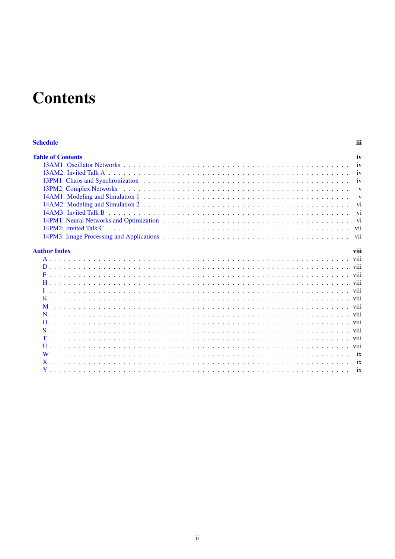# **Contents**

#### **Schedule**

| <b>Table of Contents</b> | iv   |
|--------------------------|------|
|                          |      |
|                          |      |
|                          |      |
|                          |      |
|                          |      |
|                          |      |
|                          |      |
|                          |      |
|                          |      |
|                          |      |
| <b>Author Index</b>      | viii |
|                          |      |
|                          |      |
|                          |      |
|                          |      |
|                          |      |

iii

viii

viii

viii

viii

ix

ix

ix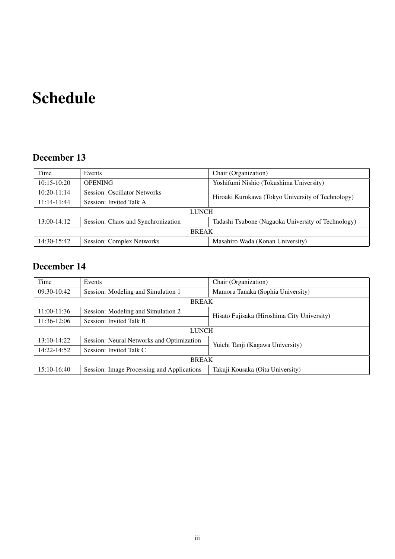# <span id="page-2-0"></span>Schedule

# December 13

| Time            | Events                              | Chair (Organization)                               |  |  |
|-----------------|-------------------------------------|----------------------------------------------------|--|--|
| $10:15-10:20$   | <b>OPENING</b>                      | Yoshifumi Nishio (Tokushima University)            |  |  |
| $10:20 - 11:14$ | <b>Session: Oscillator Networks</b> | Hiroaki Kurokawa (Tokyo University of Technology)  |  |  |
| $11:14-11:44$   | Session: Invited Talk A             |                                                    |  |  |
| <b>LUNCH</b>    |                                     |                                                    |  |  |
| $13:00-14:12$   | Session: Chaos and Synchronization  | Tadashi Tsubone (Nagaoka University of Technology) |  |  |
| <b>BREAK</b>    |                                     |                                                    |  |  |
| 14:30-15:42     | Session: Complex Networks           | Masahiro Wada (Konan University)                   |  |  |

# December 14

| Time          | Events                                     | Chair (Organization)                        |  |  |
|---------------|--------------------------------------------|---------------------------------------------|--|--|
| 09:30-10:42   | Session: Modeling and Simulation 1         | Mamoru Tanaka (Sophia University)           |  |  |
| <b>BREAK</b>  |                                            |                                             |  |  |
| 11:00-11:36   | Session: Modeling and Simulation 2         | Hisato Fujisaka (Hiroshima City University) |  |  |
| 11:36-12:06   | Session: Invited Talk B                    |                                             |  |  |
| <b>LUNCH</b>  |                                            |                                             |  |  |
| $13:10-14:22$ | Session: Neural Networks and Optimization  | Yuichi Tanji (Kagawa University)            |  |  |
| 14:22-14:52   | Session: Invited Talk C                    |                                             |  |  |
| <b>BREAK</b>  |                                            |                                             |  |  |
| 15:10-16:40   | Session: Image Processing and Applications | Takuji Kousaka (Oita University)            |  |  |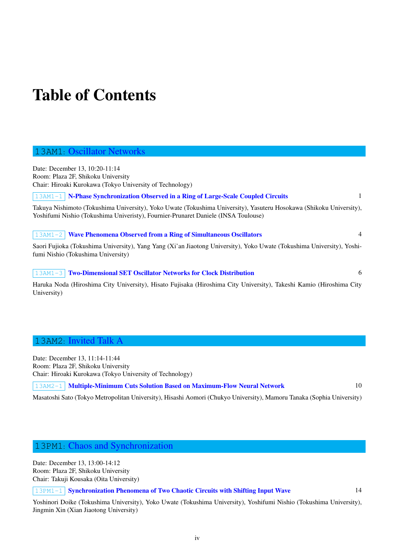# <span id="page-3-0"></span>Table of Contents

### 13AM1: Oscillator Networks

<span id="page-3-1"></span>Date: December 13, 10:20-11:14 Room: Plaza 2F, Shikoku University Chair: Hiroaki Kurokawa (Tokyo University of Technology)

13AM1-1 N-Phase Synchronization Observed in a Ring of Large-Scale Coupled Circuits 1

Takuya Nishimoto (Tokushima University), Yoko Uwate (Tokushima University), Yasuteru Hosokawa (Shikoku University), Yoshifumi Nishio (Tokushima Univeristy), Fournier-Prunaret Daniele (INSA Toulouse)

|13AM1-2 | **[Wave Phenomena Observed from a Ring of Simultaneous Oscillators](#page-0-0)** 4 Saori Fujioka (Tokushima University), Yang Yang (Xi'an Jiaotong University), Yoko Uwate (Tokushima University), Yoshifumi Nishio (Tokushima University)

| 13AM1-3 | **[Two-Dimensional SET Oscillator Networks for Clock Distribution](#page-0-0)** 6

Haruka Noda (Hiroshima City University), Hisato Fujisaka (Hiroshima City University), Takeshi Kamio (Hiroshima City University)

### 13AM2: Invited Talk A

<span id="page-3-2"></span>Date: December 13, 11:14-11:44 Room: Plaza 2F, Shikoku University Chair: Hiroaki Kurokawa (Tokyo University of Technology)

13AM2-1 | Multiple-Minimum Cuts Solution Based on Maximum-Flow Neural Network 10

Masatoshi Sato (Tokyo Metropolitan University), Hisashi Aomori (Chukyo University), Mamoru Tanaka (Sophia University)

## 13PM1: Chaos and Synchronization

<span id="page-3-3"></span>Date: December 13, 13:00-14:12 Room: Plaza 2F, Shikoku University Chair: Takuji Kousaka (Oita University)

13PM1-1 Synchronization Phenomena of Two Chaotic Circuits with Shifting Input Wave 14

Yoshinori Doike (Tokushima University), Yoko Uwate (Tokushima University), Yoshifumi Nishio (Tokushima University), Jingmin Xin (Xian Jiaotong University)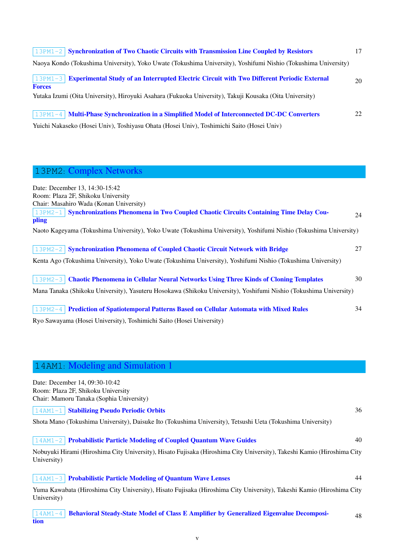| $\vert$ 13PM1-2 Synchronization of Two Chaotic Circuits with Transmission Line Coupled by Resistors                               | 17 |
|-----------------------------------------------------------------------------------------------------------------------------------|----|
| Naoya Kondo (Tokushima University), Yoko Uwate (Tokushima University), Yoshifumi Nishio (Tokushima University)                    |    |
| <b>Experimental Study of an Interrupted Electric Circuit with Two Different Periodic External</b><br>$ 13PM1-3 $<br><b>Forces</b> | 20 |
| Yutaka Izumi (Oita University), Hiroyuki Asahara (Fukuoka University), Takuji Kousaka (Oita University)                           |    |
| 13PM1-4 Multi-Phase Synchronization in a Simplified Model of Interconnected DC-DC Converters                                      | 22 |
| Yuichi Nakaseko (Hosei Univ), Toshiyasu Ohata (Hosei Univ), Toshimichi Saito (Hosei Univ)                                         |    |

# 13PM2: Complex Networks

<span id="page-4-0"></span>

| Date: December 13, 14:30-15:42<br>Room: Plaza 2F, Shikoku University                                                                                                                                                          |    |
|-------------------------------------------------------------------------------------------------------------------------------------------------------------------------------------------------------------------------------|----|
| Chair: Masahiro Wada (Konan University)<br><b>Synchronizations Phenomena in Two Coupled Chaotic Circuits Containing Time Delay Cou-</b><br>$13PM2-1$<br>pling                                                                 | 24 |
| Naoto Kageyama (Tokushima University), Yoko Uwate (Tokushima University), Yoshifumi Nishio (Tokushima University)                                                                                                             |    |
| <b>Synchronization Phenomena of Coupled Chaotic Circuit Network with Bridge</b><br>$13PM2-2$<br>Kenta Ago (Tokushima University), Yoko Uwate (Tokushima University), Yoshifumi Nishio (Tokushima University)                  | 27 |
| <b>Chaotic Phenomena in Cellular Neural Networks Using Three Kinds of Cloning Templates</b><br>$13PM2-3$<br>Mana Tanaka (Shikoku University), Yasuteru Hosokawa (Shikoku University), Yoshifumi Nishio (Tokushima University) | 30 |
| <b>Prediction of Spatiotemporal Patterns Based on Cellular Automata with Mixed Rules</b><br>$13PM2-4$<br>Ryo Sawayama (Hosei University), Toshimichi Saito (Hosei University)                                                 | 34 |

14AM1: Modeling and Simulation 1

tion

<span id="page-4-1"></span>

| Date: December 14, 09:30-10:42                                                                                          |    |
|-------------------------------------------------------------------------------------------------------------------------|----|
| Room: Plaza 2F, Shikoku University                                                                                      |    |
| Chair: Mamoru Tanaka (Sophia University)                                                                                |    |
| <b>Stabilizing Pseudo Periodic Orbits</b><br>$14AM1-1$                                                                  | 36 |
| Shota Mano (Tokushima University), Daisuke Ito (Tokushima University), Tetsushi Ueta (Tokushima University)             |    |
| <b>Probabilistic Particle Modeling of Coupled Quantum Wave Guides</b><br>$14AM1-2$                                      | 40 |
| Nobuyuki Hirami (Hiroshima City University), Hisato Fujisaka (Hiroshima City University), Takeshi Kamio (Hiroshima City |    |
| University)                                                                                                             |    |
| <b>Probabilistic Particle Modeling of Quantum Wave Lenses</b><br>$14AM1-3$                                              | 44 |
| Yuma Kawabata (Hiroshima City University), Hisato Fujisaka (Hiroshima City University), Takeshi Kamio (Hiroshima City   |    |
| University)                                                                                                             |    |
| <b>Behavioral Steady-State Model of Class E Amplifier by Generalized Eigenvalue Decomposi-</b><br>$14AM1-4$             | 48 |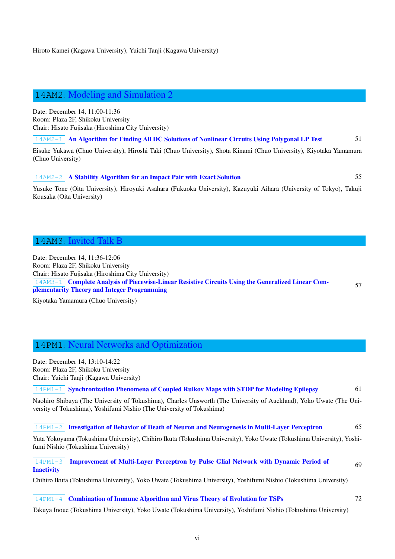# 14AM2: Modeling and Simulation 2

<span id="page-5-0"></span>Date: December 14, 11:00-11:36 Room: Plaza 2F, Shikoku University Chair: Hisato Fujisaka (Hiroshima City University)

14AM2-1 An Algorithm for Finding All DC Solutions of Nonlinear Circuits Using Polygonal LP Test 51

Eisuke Yukawa (Chuo University), Hiroshi Taki (Chuo University), Shota Kinami (Chuo University), Kiyotaka Yamamura (Chuo University)

#### 14AM2-2 [A Stability Algorithm for an Impact Pair with Exact Solution](#page-0-0) 55

Yusuke Tone (Oita University), Hiroyuki Asahara (Fukuoka University), Kazuyuki Aihara (University of Tokyo), Takuji Kousaka (Oita University)

#### 14AM3: Invited Talk B

<span id="page-5-1"></span>Date: December 14, 11:36-12:06 Room: Plaza 2F, Shikoku University Chair: Hisato Fujisaka (Hiroshima City University) 14AM3-1 Complete Analysis of Piecewise-Linear Resistive Circuits Using the Generalized Linear Complementarity Theory and Integer Programming

57

Kiyotaka Yamamura (Chuo University)

# 14PM1: Neural Networks and Optimization

<span id="page-5-2"></span>Date: December 14, 13:10-14:22 Room: Plaza 2F, Shikoku University Chair: Yuichi Tanji (Kagawa University)

14PM1-1 Synchronization Phenomena of Coupled Rulkov Maps with STDP for Modeling Epilepsy 61

Naohiro Shibuya (The University of Tokushima), Charles Unsworth (The University of Auckland), Yoko Uwate (The University of Tokushima), Yoshifumi Nishio (The University of Tokushima)

#### 14PM1-2 [Investigation of Behavior of Death of Neuron and Neurogenesis in Multi-Layer Perceptro](#page-0-0)n 65

Yuta Yokoyama (Tokushima University), Chihiro Ikuta (Tokushima University), Yoko Uwate (Tokushima University), Yoshifumi Nishio (Tokushima University)

14PM1-3 [Improvement of Multi-Layer Perceptron by Pulse Glial Network with Dynamic Period](#page-0-0) of **Inactivity** 69

Chihiro Ikuta (Tokushima University), Yoko Uwate (Tokushima University), Yoshifumi Nishio (Tokushima University)

#### [14PM1-4](#page-0-0) **[Combination of Immune Algorithm and Virus Theory of Evolution for TSPs](#page-0-0)** 72

Takuya Inoue (Tokushima University), Yoko Uwate (Tokushima University), Yoshifumi Nishio (Tokushima University)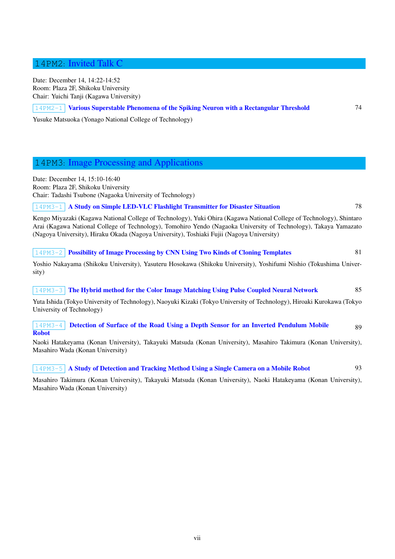<span id="page-6-0"></span>Date: December 14, 14:22-14:52 Room: Plaza 2F, Shikoku University Chair: Yuichi Tanji (Kagawa University)

#### 14PM2-1 Various Superstable Phenomena of the Spiking Neuron with a Rectangular Threshold 74

Yusuke Matsuoka (Yonago National College of Technology)

# 14PM3: Image Processing and Applications

<span id="page-6-1"></span>Date: December 14, 15:10-16:40 Room: Plaza 2F, Shikoku University Chair: Tadashi Tsubone (Nagaoka University of Technology)

#### 14PM3-1 A Study on Simple LED-VLC Flashlight Transmitter for Disaster Situation 78

Kengo Miyazaki (Kagawa National College of Technology), Yuki Ohira (Kagawa National College of Technology), Shintaro Arai (Kagawa National College of Technology), Tomohiro Yendo (Nagaoka University of Technology), Takaya Yamazato (Nagoya Uni[versity\), Hiraku Okada \(Nagoya University\), Toshiaki Fujii \(Nagoya University\)](#page-0-0)

#### 14PM3-2 **Possibility of Image Processing by CNN Using Two Kinds of Cloning Templates** 81

Yoshio Nakayama (Shikoku University), Yasuteru Hosokawa (Shikoku University), Yoshifumi Nishio (Tokushima University)

### 14PM3-3 [The Hybrid method for the Color Image Matching Using Pulse Coupled Neural](#page-0-0) Network 85 Yuta Ishida (Tokyo University of Technology), Naoyuki Kizaki (Tokyo University of Technology), Hiroaki Kurokawa (Tokyo University of Technology)

#### 14PM3-4 [Detection of Surface of the Road Using a Depth Sensor for an Inverted Pendulum Mo](#page-0-0)bile Robot 89

Naoki Hatakeyama (Konan University), Takayuki Matsuda (Konan University), Masahiro Takimura (Konan University), Masahiro Wada (Konan University)

#### [14PM](#page-0-0)3-5 A Study of Detection and Tracking Method Using a Single Camera on a Mobile Robot 93

Masahiro Takimura (Konan University), Takayuki Matsuda (Konan University), Naoki Hatakeyama (Konan University), Masahiro Wada (Konan University)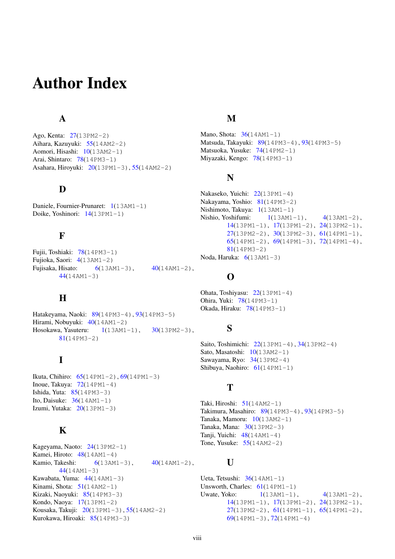# Author Index

# A

<span id="page-7-1"></span><span id="page-7-0"></span>Ago, Kenta: 27(13PM2-2) Aihara, Kazuyuki: 55(14AM2-2) Aomori, Hisashi: 10(13AM2-1) Arai, Shintaro: 78(14PM3-1) Asahara, Hir[oyu](#page-0-0)ki: 20(13PM1-3), 55(14AM2-2)

# D

Daniele, Fournier-Pr[una](#page-0-0)ret: 1(13AM[1-](#page-0-0)1) Doike, Yoshinori: 14(13PM1-1)

# <span id="page-7-2"></span>F

<span id="page-7-3"></span>Fujii, Toshiaki: 78(14PM3-1) Fujioka, Saori: 4(13AM1-2) Fujisaka, Hisato: 6(13AM1-3), 40(14AM1-2), 44(14AM1-3)

# $H$

<span id="page-7-4"></span>Hatakeyama, Naoki: 89(14PM3-4), 93(14PM3-5) Hirami, Nobuyuki:  $40(14AM1-2)$ Hosokawa, Yasuteru:  $1(13AM1-1)$ ,  $30(13PM2-3)$ , 81(14PM3-2)

# I

<span id="page-7-5"></span>Ikuta, Ch[ihir](#page-0-0)o: 65(14PM1-2), 69(14PM1-3) Inoue, Takuya:  $72(14PM1-4)$ Ishida, Yuta:  $85(14PM3-3)$ Ito, Daisuke:  $36(14AM1-1)$ Izumi, Yutaka:  $20(13PM1-3)$  $20(13PM1-3)$ 

# K

<span id="page-7-6"></span>Kageyama, Naoto: 24(13PM2-1) Kamei, Hiroto:  $48(14AM1-4)$ Kamio, Takeshi:  $6(13AM1-3)$ ,  $40(14AM1-2)$ , 44(14AM1-3) Kawabata, Yuma: [44\(](#page-0-0)14AM1-3) Kinami, Shota:  $51(14AM2-1)$  $51(14AM2-1)$ Kizaki, Naoyuki: 85([14](#page-0-0)PM3-3) Kondo, N[aoy](#page-0-0)a: 17(13PM1-2) Kousaka, Takuji: [20\(](#page-0-0)13PM1-3), 55(14AM2-2) Kurokawa, Hiro[aki:](#page-0-0) 85(14PM3-3)

## M

Mano, Shota:  $36(14AM1-1)$ Matsuda, Takayuki: 89(14PM3-4), 93(14PM3-5) Matsuoka, Yusuke: 74(14PM2-1) Miyazaki, Kengo: 78(14PM3-1)

# <span id="page-7-7"></span>N

```
22(13PM1-4)
Nakayama, Yoshio: 81(14PM3-2)
Nishimoto, Takuya: 1(13AM1-1)
Nishio, Yoshifumi: 1(13AM1-1), 4(13AM1-2),
      14(13PM1-1), 17(13PM1-2), 24(13PM2-1),
      -2), 30(13PM2-3), 61(14PM1-1),-2), 69(14PM1-3), 72(14PM1-4),81(14PM3-2)
Noda, Haruka: 6(13AM1-3)
```
# [O](#page-0-0)

Ohata, Toshiyas[u:](#page-0-0) 22(13PM1-4) Ohira, Yuki: 78(14PM3-1) Okada, Hiraku: 78(14PM3-1)

## <span id="page-7-9"></span>S

Saito, Toshimich[i:](#page-0-0) 22(13PM1-4), 34(13PM2-4) Sato, Masatoshi:  $10(13AM2-1)$ Sawayama, Ryo: 34(13PM2-4) Shibuya, Naohiro: 61(14PM1-1)

# <span id="page-7-10"></span>T

<span id="page-7-11"></span>Taki, Hiroshi:  $51(14AM2-1)$  $51(14AM2-1)$  $51(14AM2-1)$ Takimura, Masahiro: 89(14PM3-4), 93(14PM3-5) Tanaka, Mamoru: 10(13AM2-1) Tanaka, Mana: 30(13PM2-3) Tanji, Yuichi: [48\(](#page-0-0)14AM1-4) Tone, Yusuke:  $55(14AM2-2)$  $55(14AM2-2)$  $55(14AM2-2)$ 

# U

Ueta, Tetsushi:  $36(14AM1-1)$  $36(14AM1-1)$ Unsworth, Charles:  $61(14PM1-1)$ Uwate, Yoko:  $1(13AM1-1), \t 4(13AM1-2),$ 14(13PM1-1), 17(13PM1-2), 24(13PM2-1),  $27(13PM2-2), 61(14PM1-1), 65(14PM1-2),$  $27(13PM2-2), 61(14PM1-1), 65(14PM1-2),$  $27(13PM2-2), 61(14PM1-1), 65(14PM1-2),$ 69(14PM1[-3](#page-0-0)), 72(14PM1-4)